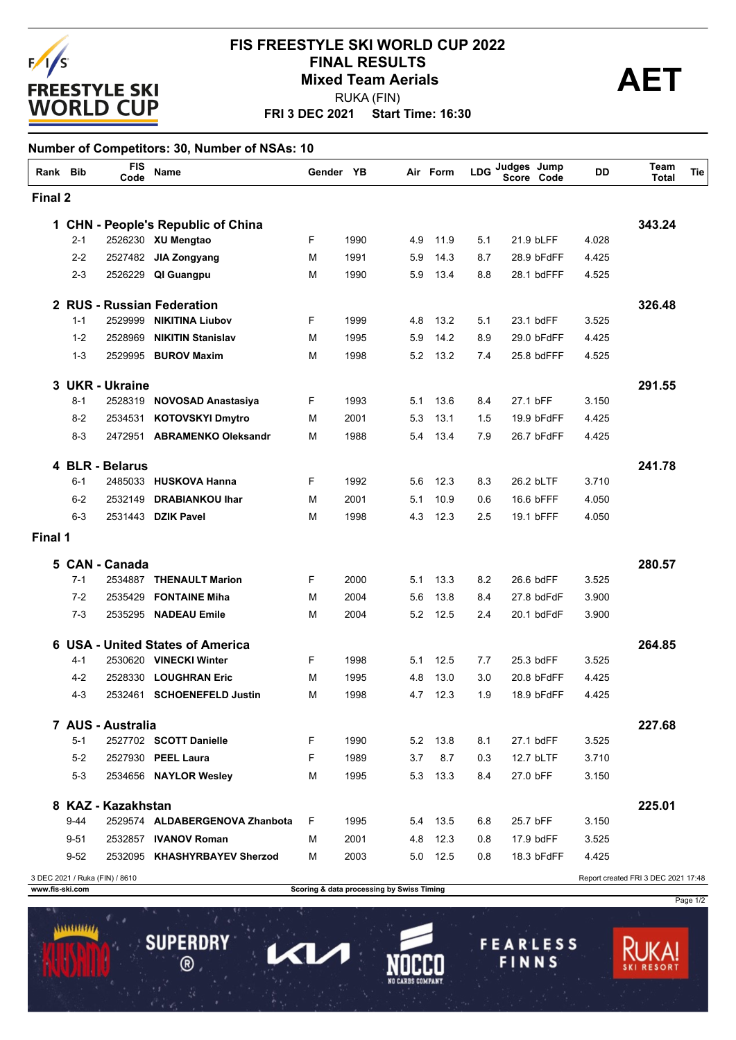

## **FRI 3 DEC 2021 Start Time: 16:30 FIS FREESTYLE SKI WORLD CUP 2022 FINAL RESULTS<br>Mixed Team Aerials**<br>RILIKA (FIN) RUKA (FIN)

### **Number of Competitors: 30, Number of NSAs: 10**

| Rank Bib |          | <b>FIS</b><br>Code             | Name                               | Gender YB |      |     | Air Form | <b>LDG</b> | Judges Jump<br>Code<br>Score | DD    | Team<br><b>Total</b>                | Tie |
|----------|----------|--------------------------------|------------------------------------|-----------|------|-----|----------|------------|------------------------------|-------|-------------------------------------|-----|
| Final 2  |          |                                |                                    |           |      |     |          |            |                              |       |                                     |     |
|          |          |                                | 1 CHN - People's Republic of China |           |      |     |          |            |                              |       | 343.24                              |     |
|          | $2 - 1$  |                                | 2526230 XU Mengtao                 | F         | 1990 | 4.9 | 11.9     | 5.1        | 21.9 bLFF                    | 4.028 |                                     |     |
|          | $2 - 2$  |                                | 2527482 JIA Zongyang               | м         | 1991 | 5.9 | 14.3     | 8.7        | 28.9 bFdFF                   | 4.425 |                                     |     |
|          | $2 - 3$  | 2526229                        | QI Guangpu                         | М         | 1990 | 5.9 | 13.4     | 8.8        | 28.1 bdFFF                   | 4.525 |                                     |     |
|          |          |                                | 2 RUS - Russian Federation         |           |      |     |          |            |                              |       | 326.48                              |     |
|          | $1 - 1$  | 2529999                        | <b>NIKITINA Liubov</b>             | F         | 1999 | 4.8 | 13.2     | 5.1        | 23.1 bdFF                    | 3.525 |                                     |     |
|          | $1 - 2$  | 2528969                        | <b>NIKITIN Stanislav</b>           | М         | 1995 | 5.9 | 14.2     | 8.9        | 29.0 bFdFF                   | 4.425 |                                     |     |
|          | $1 - 3$  | 2529995                        | <b>BUROV Maxim</b>                 | М         | 1998 | 5.2 | 13.2     | 7.4        | 25.8 bdFFF                   | 4.525 |                                     |     |
| 3        |          | <b>UKR - Ukraine</b>           |                                    |           |      |     |          |            |                              |       | 291.55                              |     |
|          | $8 - 1$  |                                | 2528319 NOVOSAD Anastasiya         | F         | 1993 | 5.1 | 13.6     | 8.4        | 27.1 bFF                     | 3.150 |                                     |     |
|          | $8-2$    | 2534531                        | <b>KOTOVSKYI Dmytro</b>            | м         | 2001 | 5.3 | 13.1     | 1.5        | 19.9 bFdFF                   | 4.425 |                                     |     |
|          | $8 - 3$  |                                | 2472951 ABRAMENKO Oleksandr        | М         | 1988 | 5.4 | 13.4     | 7.9        | 26.7 bFdFF                   | 4.425 |                                     |     |
|          |          | 4 BLR - Belarus                |                                    |           |      |     |          |            |                              |       | 241.78                              |     |
|          | $6 - 1$  |                                | 2485033 HUSKOVA Hanna              | F         | 1992 | 5.6 | 12.3     | 8.3        | 26.2 bLTF                    | 3.710 |                                     |     |
|          | $6 - 2$  | 2532149                        | <b>DRABIANKOU Ihar</b>             | М         | 2001 | 5.1 | 10.9     | 0.6        | 16.6 bFFF                    | 4.050 |                                     |     |
|          | $6 - 3$  | 2531443                        | <b>DZIK Pavel</b>                  | М         | 1998 | 4.3 | 12.3     | 2.5        | 19.1 bFFF                    | 4.050 |                                     |     |
| Final 1  |          |                                |                                    |           |      |     |          |            |                              |       |                                     |     |
|          |          | 5 CAN - Canada                 |                                    |           |      |     |          |            |                              |       | 280.57                              |     |
|          | $7 - 1$  | 2534887                        | <b>THENAULT Marion</b>             | F         | 2000 | 5.1 | 13.3     | 8.2        | 26.6 bdFF                    | 3.525 |                                     |     |
|          | $7 - 2$  | 2535429                        | <b>FONTAINE Miha</b>               | м         | 2004 | 5.6 | 13.8     | 8.4        | 27.8 bdFdF                   | 3.900 |                                     |     |
|          | $7 - 3$  | 2535295                        | <b>NADEAU Emile</b>                | М         | 2004 | 5.2 | 12.5     | 2.4        | 20.1 bdFdF                   | 3.900 |                                     |     |
|          |          |                                | 6 USA - United States of America   |           |      |     |          |            |                              |       | 264.85                              |     |
|          | 4-1      |                                | 2530620 VINECKI Winter             | F         | 1998 | 5.1 | 12.5     | 7.7        | 25.3 bdFF                    | 3.525 |                                     |     |
|          | $4 - 2$  | 2528330                        | <b>LOUGHRAN Eric</b>               | м         | 1995 | 4.8 | 13.0     | 3.0        | 20.8 bFdFF                   | 4.425 |                                     |     |
|          | $4 - 3$  | 2532461                        | <b>SCHOENEFELD Justin</b>          | м         | 1998 | 4.7 | 12.3     | 1.9        | 18.9 bFdFF                   | 4.425 |                                     |     |
|          |          | 7 AUS - Australia              |                                    |           |      |     |          |            |                              |       | 227.68                              |     |
|          | 5-1      |                                | 2527702 SCOTT Danielle             | F.        | 1990 |     | 5.2 13.8 | 8.1        | 27.1 bdFF                    | 3.525 |                                     |     |
|          | $5-2$    |                                | 2527930 PEEL Laura                 | F         | 1989 | 3.7 | 8.7      | 0.3        | 12.7 bLTF                    | 3.710 |                                     |     |
|          | $5-3$    |                                | 2534656 NAYLOR Wesley              | м         | 1995 |     | 5.3 13.3 | 8.4        | 27.0 bFF                     | 3.150 |                                     |     |
|          |          | 8 KAZ - Kazakhstan             |                                    |           |      |     |          |            |                              |       | 225.01                              |     |
|          | $9 - 44$ |                                | 2529574 ALDABERGENOVA Zhanbota     | F.        | 1995 |     | 5.4 13.5 | 6.8        | 25.7 bFF                     | 3.150 |                                     |     |
|          | $9 - 51$ |                                | 2532857 IVANOV Roman               | м         | 2001 |     | 4.8 12.3 | 0.8        | 17.9 bdFF                    | 3.525 |                                     |     |
|          | $9 - 52$ |                                | 2532095 KHASHYRBAYEV Sherzod       | м         | 2003 |     | 5.0 12.5 | 0.8        | 18.3 bFdFF                   | 4.425 |                                     |     |
|          |          | 3 DEC 2021 / Ruka (FIN) / 8610 |                                    |           |      |     |          |            |                              |       | Report created FRI 3 DEC 2021 17:48 |     |

1111111111

**SUPERDRY** 

 $\circledR$ 

Π

 $\mathbf{L}$ 

**www.fis-ski.com Scoring & data processing by Swiss Timing**